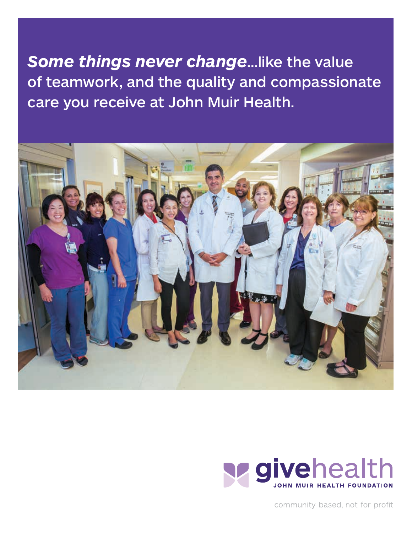*Some things never change*…like the value of teamwork, and the quality and compassionate care you receive at John Muir Health.





community-based, not-for-profit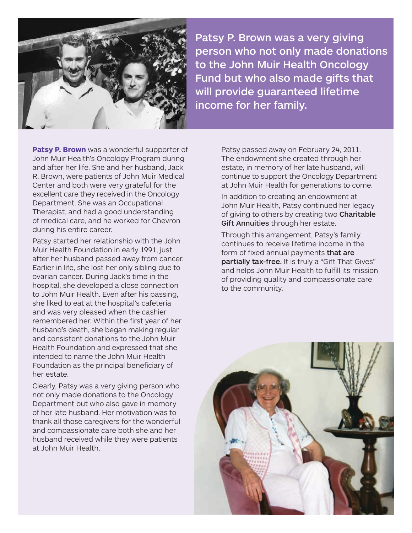

Patsy P. Brown was a very giving person who not only made donations to the John Muir Health Oncology Fund but who also made gifts that will provide guaranteed lifetime income for her family.

**Patsy P. Brown** was a wonderful supporter of John Muir Health's Oncology Program during and after her life. She and her husband, Jack R. Brown, were patients of John Muir Medical Center and both were very grateful for the excellent care they received in the Oncology Department. She was an Occupational Therapist, and had a good understanding of medical care, and he worked for Chevron during his entire career.

Patsy started her relationship with the John Muir Health Foundation in early 1991, just after her husband passed away from cancer. Earlier in life, she lost her only sibling due to ovarian cancer. During Jack's time in the hospital, she developed a close connection to John Muir Health. Even after his passing, she liked to eat at the hospital's cafeteria and was very pleased when the cashier remembered her. Within the first year of her husband's death, she began making regular and consistent donations to the John Muir Health Foundation and expressed that she intended to name the John Muir Health Foundation as the principal beneficiary of her estate.

Clearly, Patsy was a very giving person who not only made donations to the Oncology Department but who also gave in memory of her late husband. Her motivation was to thank all those caregivers for the wonderful and compassionate care both she and her husband received while they were patients at John Muir Health.

Patsy passed away on February 24, 2011. The endowment she created through her estate, in memory of her late husband, will continue to support the Oncology Department at John Muir Health for generations to come.

In addition to creating an endowment at John Muir Health, Patsy continued her legacy of giving to others by creating two Charitable Gift Annuities through her estate.

Through this arrangement, Patsy's family continues to receive lifetime income in the form of fixed annual payments that are partially tax-free. It is truly a "Gift That Gives" and helps John Muir Health to fulfill its mission of providing quality and compassionate care to the community.